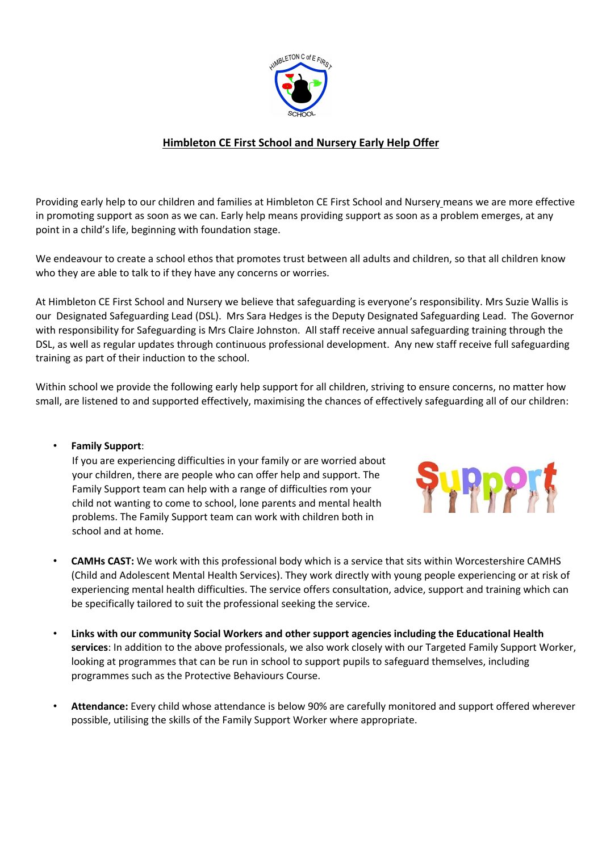

## **Himbleton CE First School and Nursery Early Help Offer**

Providing early help to our children and families at Himbleton CE First School and Nursery means we are more effective in promoting support as soon as we can. Early help means providing support as soon as a problem emerges, at any point in a child's life, beginning with foundation stage.

We endeavour to create a school ethos that promotes trust between all adults and children, so that all children know who they are able to talk to if they have any concerns or worries.

At Himbleton CE First School and Nursery we believe that safeguarding is everyone's responsibility. Mrs Suzie Wallis is our Designated Safeguarding Lead (DSL). Mrs Sara Hedges is the Deputy Designated Safeguarding Lead. The Governor with responsibility for Safeguarding is Mrs Claire Johnston. All staff receive annual safeguarding training through the DSL, as well as regular updates through continuous professional development. Any new staff receive full safeguarding training as part of their induction to the school.

Within school we provide the following early help support for all children, striving to ensure concerns, no matter how small, are listened to and supported effectively, maximising the chances of effectively safeguarding all of our children:

## • **Family Support**:

If you are experiencing difficulties in your family or are worried about your children, there are people who can offer help and support. The Family Support team can help with a range of difficulties rom your child not wanting to come to school, lone parents and mental health problems. The Family Support team can work with children both in school and at home.



- **CAMHs CAST:** We work with this professional body which is a service that sits within Worcestershire CAMHS (Child and Adolescent Mental Health Services). They work directly with young people experiencing or at risk of experiencing mental health difficulties. The service offers consultation, advice, support and training which can be specifically tailored to suit the professional seeking the service.
- **Links with our community Social Workers and other support agencies including the Educational Health services**: In addition to the above professionals, we also work closely with our Targeted Family Support Worker, looking at programmes that can be run in school to support pupils to safeguard themselves, including programmes such as the Protective Behaviours Course.
- **Attendance:** Every child whose attendance is below 90% are carefully monitored and support offered wherever possible, utilising the skills of the Family Support Worker where appropriate.